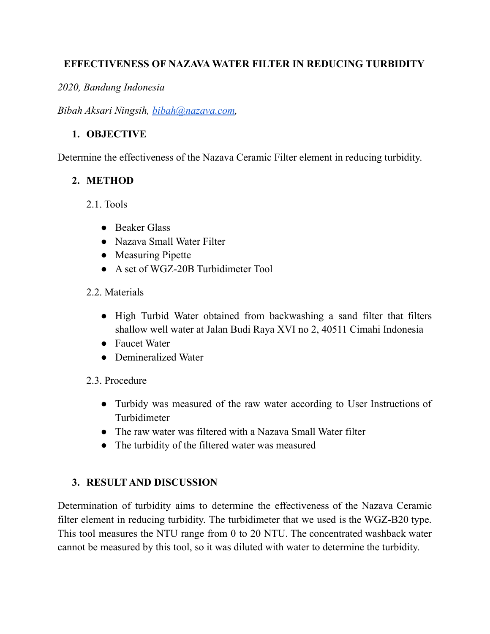#### **EFFECTIVENESS OF NAZAVA WATER FILTER IN REDUCING TURBIDITY**

*2020, Bandung Indonesia*

*Bibah Aksari Ningsih, [bibah@nazava.com,](mailto:bibah@nazava.com)*

### **1. OBJECTIVE**

Determine the effectiveness of the Nazava Ceramic Filter element in reducing turbidity.

## **2. METHOD**

- 2.1. Tools
	- Beaker Glass
	- Nazava Small Water Filter
	- Measuring Pipette
	- A set of WGZ-20B Turbidimeter Tool

### 2.2. Materials

- High Turbid Water obtained from backwashing a sand filter that filters shallow well water at Jalan Budi Raya XVI no 2, 40511 Cimahi Indonesia
- Faucet Water
- Demineralized Water
- 2.3. Procedure
	- Turbidy was measured of the raw water according to User Instructions of Turbidimeter
	- The raw water was filtered with a Nazava Small Water filter
	- The turbidity of the filtered water was measured

# **3. RESULT AND DISCUSSION**

Determination of turbidity aims to determine the effectiveness of the Nazava Ceramic filter element in reducing turbidity. The turbidimeter that we used is the WGZ-B20 type. This tool measures the NTU range from 0 to 20 NTU. The concentrated washback water cannot be measured by this tool, so it was diluted with water to determine the turbidity.